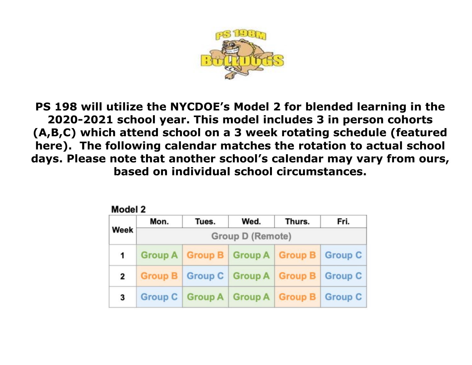

**PS 198 will utilize the NYCDOE's Model 2 for blended learning in the 2020-2021 school year. This model includes 3 in person cohorts (A,B,C) which attend school on a 3 week rotating schedule (featured here). The following calendar matches the rotation to actual school days. Please note that another school's calendar may vary from ours, based on individual school circumstances.** 

| Model 2 |                  |       |                                                 |        |      |  |  |  |
|---------|------------------|-------|-------------------------------------------------|--------|------|--|--|--|
|         | Mon.             | Tues. | Wed.                                            | Thurs. | Fri. |  |  |  |
| Week    | Group D (Remote) |       |                                                 |        |      |  |  |  |
| 1       |                  |       | Group A   Group B   Group A   Group B   Group C |        |      |  |  |  |
| 2       |                  |       | Group B   Group C   Group A   Group B   Group C |        |      |  |  |  |
| 3       |                  |       | Group C   Group A   Group A   Group B   Group C |        |      |  |  |  |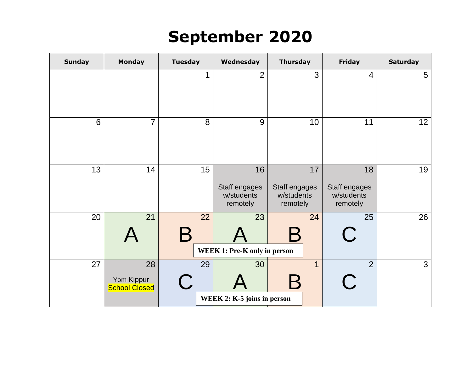## **September 2020**

| <b>Sunday</b> | <b>Monday</b>                            | <b>Tuesday</b>                 | Wednesday                                     | <b>Thursday</b>                               | <b>Friday</b>                                 | <b>Saturday</b> |
|---------------|------------------------------------------|--------------------------------|-----------------------------------------------|-----------------------------------------------|-----------------------------------------------|-----------------|
|               |                                          | 1                              | $\overline{2}$                                | 3                                             | 4                                             | $5\overline{)}$ |
| 6             | $\overline{7}$                           | 8                              | 9                                             | 10                                            | 11                                            | 12              |
| 13            | 14                                       | 15                             | 16<br>Staff engages<br>w/students<br>remotely | 17<br>Staff engages<br>w/students<br>remotely | 18<br>Staff engages<br>w/students<br>remotely | 19              |
| 20            | 21                                       | 22<br>r                        | 23<br><b>WEEK 1: Pre-K only in person</b>     | 24<br>$\bm{\mathsf{B}}$                       | 25<br>$\overline{\phantom{a}}$                | 26              |
| 27            | 28<br>Yom Kippur<br><b>School Closed</b> | 29<br>$\overline{\phantom{a}}$ | 30<br>WEEK 2: K-5 joins in person             | $\mathbf{1}$<br>$\bm{\mathsf{B}}$             | $\overline{2}$                                | $\mathbf{3}$    |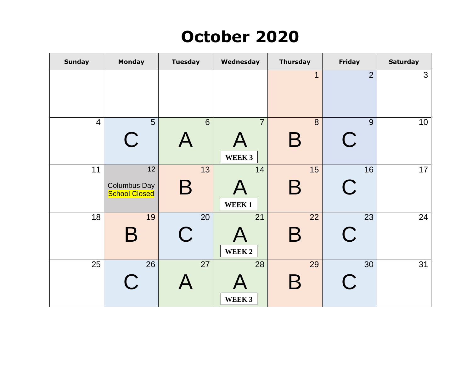# **October 2020**

| <b>Sunday</b>  | Monday                                            | <b>Tuesday</b>          | Wednesday                | <b>Thursday</b>         | Friday           | <b>Saturday</b> |
|----------------|---------------------------------------------------|-------------------------|--------------------------|-------------------------|------------------|-----------------|
|                |                                                   |                         |                          | $\overline{1}$          | $\overline{2}$   | 3               |
| $\overline{4}$ | 5<br>$\mathsf C$                                  | 6                       | $\overline{7}$<br>WEEK 3 | 8<br>$\mathsf B$        | 9<br>$\mathbf C$ | 10              |
| 11             | 12<br><b>Columbus Day</b><br><b>School Closed</b> | 13<br>$\bm{\mathsf{B}}$ | 14<br>WEEK1              | 15<br>Β                 | 16<br>$\bf C$    | 17              |
| 18             | 19<br>Β                                           | 20<br>$\bigcap$         | 21<br>WEEK 2             | 22<br>$\bm{\mathsf{B}}$ | 23<br>$\bf C$    | 24              |
| 25             | 26<br>$\mathsf C$                                 | 27                      | 28<br>WEEK 3             | 29<br>$\bm{\mathsf{B}}$ | 30               | 31              |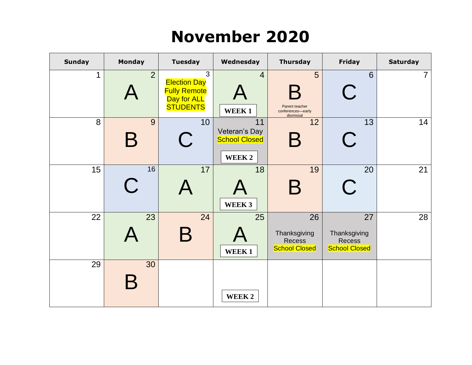## **November 2020**

| <b>Sunday</b> | <b>Monday</b>          | <b>Tuesday</b>                                                                    | Wednesday                                             | <b>Thursday</b>                                             | <b>Friday</b>                                               | <b>Saturday</b> |
|---------------|------------------------|-----------------------------------------------------------------------------------|-------------------------------------------------------|-------------------------------------------------------------|-------------------------------------------------------------|-----------------|
| 1             | $\overline{2}$         | 3<br><b>Election Day</b><br><b>Fully Remote</b><br>Day for ALL<br><b>STUDENTS</b> | $\overline{4}$<br>WEEK1                               | 5<br>K<br>Parent teacher<br>conferences-early<br>dismissal  | 6<br>$\begin{array}{c} \cdot \end{array}$                   | $\overline{7}$  |
| 8             | 9<br>$\bm{\mathsf{B}}$ | 10                                                                                | 11<br>Veteran's Day<br><b>School Closed</b><br>WEEK 2 | 12<br>$\bm{\mathsf{B}}$                                     | 13                                                          | 14              |
| 15            | 16<br>$\bigcap$        | 17                                                                                | 18<br>WEEK 3                                          | 19<br>$\bm{\mathsf{B}}$                                     | 20                                                          | 21              |
| 22            | 23                     | 24                                                                                | 25<br>WEEK1                                           | 26<br>Thanksgiving<br><b>Recess</b><br><b>School Closed</b> | 27<br>Thanksgiving<br><b>Recess</b><br><b>School Closed</b> | 28              |
| 29            | 30                     |                                                                                   | WEEK <sub>2</sub>                                     |                                                             |                                                             |                 |